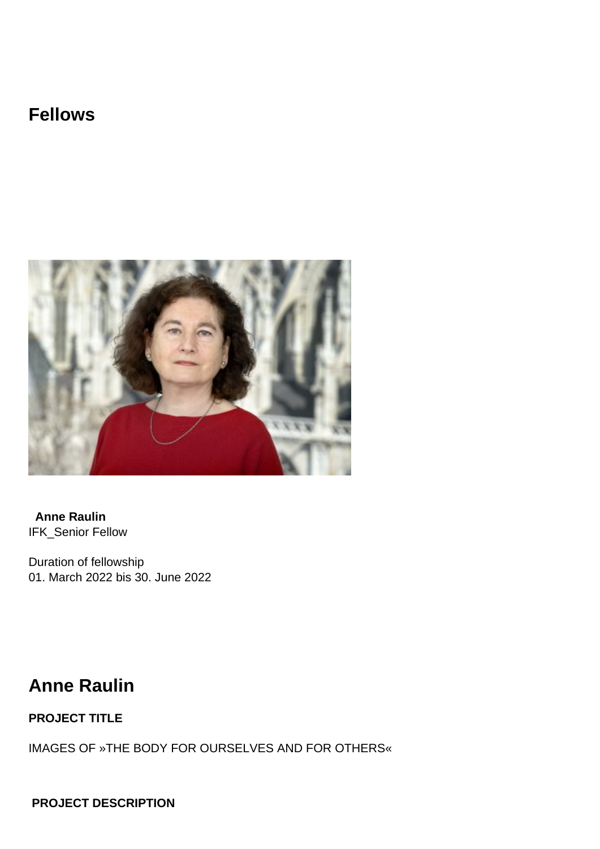## **Fellows**



**Anne Raulin** IFK\_Senior Fellow

Duration of fellowship 01. March 2022 bis 30. June 2022

## **Anne Raulin**

## **PROJECT TITLE**

IMAGES OF »THE BODY FOR OURSELVES AND FOR OTHERS«

 **PROJECT DESCRIPTION**